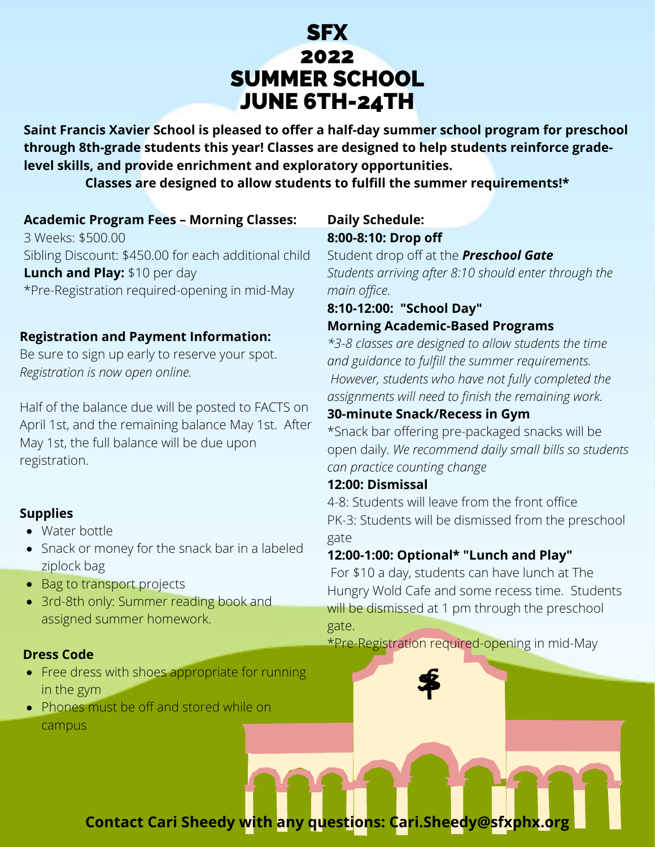# SFX 2022 SUMMER SCHOOL JUNE 6TH-24TH

**Saint Francis Xavier School is pleased to offer a half-day summer school program for preschool through 8th-grade students this year! Classes are designed to help students reinforce gradelevel skills, and provide enrichment and exploratory opportunities.**

**Classes are designed to allow students to fulfill the summer requirements!\***

#### **Academic Program Fees – Morning Classes:**

3 Weeks: \$500.00 Sibling Discount: \$450.00 for each additional child **Lunch and Play:** \$10 per day \*Pre-Registration required-opening in mid-May

#### **Registration and Payment Information:**

Be sure to sign up early to reserve your spot. *Registration is now open online.*

Half of the balance due will be posted to FACTS on April 1st, and the remaining balance May 1st. After May 1st, the full balance will be due upon registration.

#### **Supplies**

- Water bottle
- Snack or money for the snack bar in a labeled ziplock bag
- Bag to transport projects
- 3rd-8th only: Summer reading book and assigned summer homework.

#### **Dress Code**

- Free dress with shoes appropriate for running in the gym
- Phones must be off and stored while on campus

#### **Daily Schedule: 8:00-8:10: Drop off**

Student drop off at the *Preschool Gate Students arriving after 8:10 should enter through the main office.*

### **8:10-12:00: "School Day"**

#### **Morning Academic-Based Programs**

*\*3-8 classes are designed to allow students the time and guidance to fulfill the summer requirements. However, students who have not fully completed the assignments will need to finish the remaining work.*

#### **30-minute Snack/Recess in Gym**

\*Snack bar offering pre-packaged snacks will be open daily. *We recommend daily small bills so students can practice counting change*

#### **12:00: Dismissal**

4-8: Students will leave from the front office PK-3: Students will be dismissed from the preschool gate

#### **12:00-1:00: Optional\* "Lunch and Play"**

For \$10 a day, students can have lunch at The Hungry Wold Cafe and some recess time. Students will be dismissed at 1 pm through the preschool gate.

\*Pre-Registration required-opening in mid-May

**Contact Cari Sheedy with any questions: Cari.Sheedy@sfxphx.org**